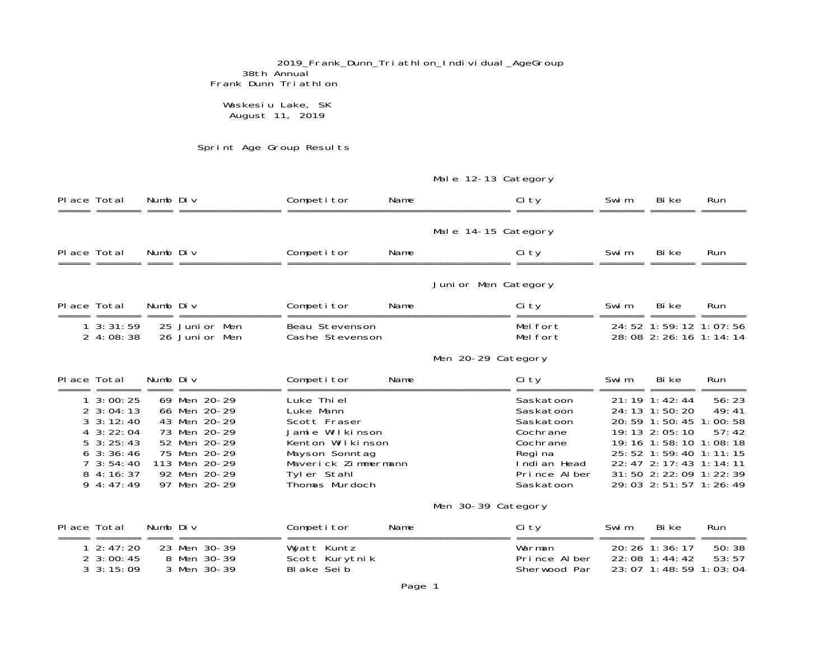2019\_Frank\_Dunn\_Triathlon\_Individual\_AgeGroup 38th Annual Frank Dunn Triathlon

#### Waskesiu Lake, SK August 11, 2019

Sprint Age Group Results

|             |                                                                                                                                                                     |          |                                                                                                                                               |                                                                                                                                                           |      | Male 12-13 Category |                                                                                                                     |                |                                                                                                                                                                                                                                        |                         |
|-------------|---------------------------------------------------------------------------------------------------------------------------------------------------------------------|----------|-----------------------------------------------------------------------------------------------------------------------------------------------|-----------------------------------------------------------------------------------------------------------------------------------------------------------|------|---------------------|---------------------------------------------------------------------------------------------------------------------|----------------|----------------------------------------------------------------------------------------------------------------------------------------------------------------------------------------------------------------------------------------|-------------------------|
| Place Total | doodo doodood dood.                                                                                                                                                 | Numb Div |                                                                                                                                               | Competitor                                                                                                                                                | Name |                     | Ci ty                                                                                                               | Swi m<br>===== | Bi ke                                                                                                                                                                                                                                  | <b>Run</b>              |
|             |                                                                                                                                                                     |          |                                                                                                                                               |                                                                                                                                                           |      | Male 14-15 Category |                                                                                                                     |                |                                                                                                                                                                                                                                        |                         |
| Place Total |                                                                                                                                                                     | Numb Div |                                                                                                                                               | Competitor                                                                                                                                                | Name |                     | Ci ty                                                                                                               | Swi m          | Bi ke                                                                                                                                                                                                                                  | <b>Run</b>              |
|             |                                                                                                                                                                     |          |                                                                                                                                               |                                                                                                                                                           |      | Junior Men Category |                                                                                                                     |                |                                                                                                                                                                                                                                        |                         |
| Place Total |                                                                                                                                                                     | Numb Div |                                                                                                                                               | Competitor                                                                                                                                                | Name |                     | Ci ty                                                                                                               | Swi m          | Bi ke                                                                                                                                                                                                                                  | <b>Run</b>              |
|             | $1 \cdot 3:31:59$<br>24:08:38                                                                                                                                       |          | 25 Junior Men<br>26 Junior Men                                                                                                                | Beau Stevenson<br>Cashe Stevenson                                                                                                                         |      |                     | Melfort<br>Mel fort                                                                                                 |                | 24: 52 1: 59: 12 1: 07: 56<br>28:08 2:26:16 1:14:14                                                                                                                                                                                    |                         |
|             |                                                                                                                                                                     |          |                                                                                                                                               |                                                                                                                                                           |      | Men 20-29 Category  |                                                                                                                     |                |                                                                                                                                                                                                                                        |                         |
| Place Total |                                                                                                                                                                     | Numb Div |                                                                                                                                               | Competitor                                                                                                                                                | Name |                     | Ci ty                                                                                                               | Swi m          | Bi ke                                                                                                                                                                                                                                  | <b>Run</b>              |
|             | $1 \cdot 3:00:25$<br>$2 \cdot 3:04:13$<br>$3 \cdot 3:12:40$<br>$4 \cdot 3:22:04$<br>$5 \cdot 3:25:43$<br>$6$ 3:36:46<br>$7 \cdot 3: 54: 40$<br>84:16:37<br>94:17:49 |          | 69 Men 20-29<br>66 Men 20-29<br>43 Men 20-29<br>73 Men 20-29<br>52 Men 20-29<br>75 Men 20-29<br>113 Men 20-29<br>92 Men 20-29<br>97 Men 20-29 | Luke Thi el<br>Luke Mann<br>Scott Fraser<br>Jamie Wilkinson<br>Kenton Wilkinson<br>Mayson Sonntag<br>Maverick Zimmermann<br>Tyler Stahl<br>Thomas Murdoch |      |                     | Saskatoon<br>Saskatoon<br>Saskatoon<br>Cochrane<br>Cochrane<br>Regi na<br>Indi an Head<br>Prince Alber<br>Saskatoon |                | $21:19$ 1:42:44<br>24: 13 1: 50: 20<br>20: 59 1: 50: 45 1: 00: 58<br>19: 13 2: 05: 10<br>19: 16 1: 58: 10 1: 08: 18<br>25: 52 1: 59: 40 1: 11: 15<br>22: 47 2: 17: 43 1: 14: 11<br>31:50 2:22:09 1:22:39<br>29: 03 2: 51: 57 1: 26: 49 | 56:23<br>49:41<br>57:42 |
|             |                                                                                                                                                                     |          |                                                                                                                                               |                                                                                                                                                           |      | Men 30-39 Category  |                                                                                                                     |                |                                                                                                                                                                                                                                        |                         |
| Place Total |                                                                                                                                                                     | Numb Div |                                                                                                                                               | Competitor                                                                                                                                                | Name |                     | Ci ty                                                                                                               | Swi m          | Bi ke                                                                                                                                                                                                                                  | Run                     |
|             | $1 \; 2: 47: 20$<br>$2 \cdot 3:00:45$<br>$3 \cdot 3:15:09$                                                                                                          |          | 23 Men 30-39<br>8 Men 30-39<br>3 Men 30-39                                                                                                    | Wyatt Kuntz<br>Scott Kurytnik<br>Bl ake Sei b                                                                                                             |      |                     | Warman<br>Prince Alber<br>Sherwood Par                                                                              |                | 20: 26 1: 36: 17<br>22:08 1:44:42<br>23: 07 1: 48: 59 1: 03: 04                                                                                                                                                                        | 50:38<br>53:57          |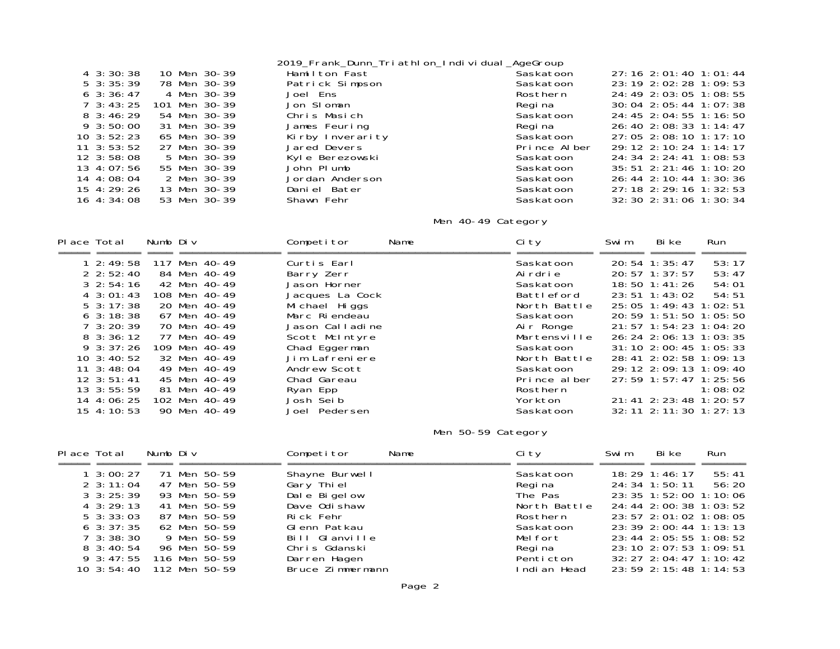|                    |               | 2019_Frank_Dunn_Tri athl on_Indi vi dual _AgeGroup |              |                                  |
|--------------------|---------------|----------------------------------------------------|--------------|----------------------------------|
| $4\,3:30:38$       | 10 Men 30-39  | Hamilton Fast                                      | Saskatoon    | $27:16$ 2:01:40 1:01:44          |
| $5\,3:35:39$       | 78 Men 30-39  | Patrick Simpson                                    | Saskatoon    | 23: 19 2: 02: 28 1: 09: 53       |
| $6\,3:36:47$       | 4 Men 30-39   | Joel Ens                                           | Rosthern     | 24: 49 2: 03: 05 1: 08: 55       |
| $7 \cdot 3:43:25$  | 101 Men 30-39 | Jon SI oman                                        | Regi na      | 30: 04 2: 05: 44 1: 07: 38       |
| $8\,3:46:29$       | 54 Men 30-39  | Chris Masich                                       | Saskatoon    | 24: 45 2: 04: 55 1: 16: 50       |
| $9\,3:50:00$       | 31 Men 30-39  | James Feuring                                      | Regi na      | 26: 40 2: 08: 33 1: 14: 47       |
| $10 \cdot 3:52:23$ | 65 Men 30-39  | Kirby Inverarity                                   | Saskatoon    | $27:05$ 2:08:10 1:17:10          |
| $11 \quad 3:53:52$ | 27 Men 30-39  | Jared Devers                                       | Prince Alber | 29: 12 2: 10: 24 1: 14: 17       |
| $12 \cdot 3:58:08$ | 5 Men 30-39   | Kyle Berezowski                                    | Saskatoon    | $24:34$ 2:24:41 1:08:53          |
| $13 \, 4:07:56$    | 55 Men 30-39  | John Plumb                                         | Saskatoon    | $35: 51$ $2: 21: 46$ $1: 10: 20$ |
| $14 \quad 4:08:04$ | 2 Men 30-39   | Jordan Anderson                                    | Saskatoon    | $26: 44$ 2: 10: 44 1: 30: 36     |
| 15 4:29:26         | 13 Men 30-39  | Daniel Bater                                       | Saskatoon    | $27:18$ 2: 29: 16 1: 32: 53      |
| $16 \t4:}34:08$    | 53 Men 30-39  | Shawn Fehr                                         | Saskatoon    | $32:30$ $2:31:06$ 1:30:34        |
|                    |               |                                                    |              |                                  |

# Men 40-49 Category

| Place Total |                    | Numb Div |               | Competitor      | Name | Ci ty        | Swi m | Bi ke                      | Run     |
|-------------|--------------------|----------|---------------|-----------------|------|--------------|-------|----------------------------|---------|
|             | $1\,2:49:58$       |          | 117 Men 40-49 | Curtis Earl     |      | Saskatoon    |       | 20: 54 1: 35: 47           | 53:17   |
|             | $2 \; 2:52:40$     |          | 84 Men 40-49  | Barry Zerr      |      | Ai rdri e    |       | $20:57 \; 1:37:57$         | 53:47   |
|             | $3\;2:54:16$       |          | 42 Men 40-49  | Jason Horner    |      | Saskatoon    |       | $18:50 \quad 1:41:26$      | 54:01   |
|             | $4 \cdot 3:01:43$  |          | 108 Men 40-49 | Jacques La Cock |      | Battleford   |       | 23:51 1:43:02              | 54:51   |
|             | $5 \cdot 3:17:38$  |          | 20 Men 40-49  | Mi chael Higgs  |      | North Battle |       | 25: 05 1: 49: 43 1: 02: 51 |         |
|             | $6\,3:18:38$       |          | 67 Men 40-49  | Marc Riendeau   |      | Saskatoon    |       | 20: 59 1: 51: 50 1: 05: 50 |         |
|             | $7 \cdot 3:20:39$  |          | 70 Men 40-49  | Jason Calladine |      | Air Ronge    |       | 21: 57 1: 54: 23 1: 04: 20 |         |
|             | $8\,3:36:12$       |          | 77 Men 40-49  | Scott McIntyre  |      | Martensville |       | 26: 24 2: 06: 13 1: 03: 35 |         |
|             | $9 \cdot 3:37:26$  |          | 109 Men 40-49 | Chad Eggerman   |      | Saskatoon    |       | 31: 10 2: 00: 45 1: 05: 33 |         |
|             | $10 \cdot 3:40:52$ |          | 32 Men 40-49  | Jim Lafreniere  |      | North Battle |       | 28: 41 2: 02: 58 1: 09: 13 |         |
|             | $11 \quad 3:48:04$ |          | 49 Men 40-49  | Andrew Scott    |      | Saskatoon    |       | 29: 12 2: 09: 13 1: 09: 40 |         |
|             | $12 \cdot 3:51:41$ |          | 45 Men 40-49  | Chad Gareau     |      | Prince alber |       | 27: 59 1: 57: 47 1: 25: 56 |         |
|             | $13 \cdot 3:55:59$ |          | 81 Men 40-49  | Ryan Epp        |      | Rosthern     |       |                            | 1:08:02 |
|             | $14 \t4:06:25$     |          | 102 Men 40-49 | Josh Seib       |      | Yorkton      |       | 21: 41 2: 23: 48 1: 20: 57 |         |
|             | $15 \, 4:10:53$    |          | 90 Men 40-49  | Joel Pedersen   |      | Saskatoon    |       | 32: 11 2: 11: 30 1: 27: 13 |         |

### Men 50-59 Category

| Place Total             | Numb Div |               | Competitor       | Name | Ci ty        | Swi m | Bi ke                      | Run                        |
|-------------------------|----------|---------------|------------------|------|--------------|-------|----------------------------|----------------------------|
|                         |          |               |                  |      |              |       |                            |                            |
| $1 \cdot 3:00:27$       |          | 71 Men 50-59  | Shayne Burwell   |      | Saskatoon    |       | $18:29$ 1:46:17            | 55:41                      |
| $2 \cdot 3:11:04$       |          | 47 Men 50-59  | Gary Thiel       |      | Regi na      |       | 24: 34 1: 50: 11           | 56:20                      |
| $3 \cdot 3: 25: 39$     |          | 93 Men 50-59  | Dale Bigelow     |      | The Pas      |       | 23: 35 1: 52: 00 1: 10: 06 |                            |
| $4 \cdot 3:29:13$       |          | 41 Men 50-59  | Dave Odi shaw    |      | North Battle |       |                            | 24: 44 2: 00: 38 1: 03: 52 |
| $5 \cdot 3:33:03$       |          | 87 Men 50-59  | Rick Fehr        |      | Rosthern     |       | 23: 57 2: 01: 02 1: 08: 05 |                            |
| $6\,3:37:35$            |          | 62 Men 50-59  | Glenn Patkau     |      | Saskatoon    |       | 23: 39 2: 00: 44 1: 13: 13 |                            |
| $7 \cdot 3:38:30$       |          | 9 Men 50-59   | Bill Glanville   |      | Melfort      |       |                            | 23: 44 2: 05: 55 1: 08: 52 |
| $8\,3:40:54$            |          | 96 Men 50-59  | Chris Gdanski    |      | Regi na      |       | 23: 10 2: 07: 53 1: 09: 51 |                            |
| 9 3:47:55 116 Men 50-59 |          |               | Darren Hagen     |      | Penticton    |       | 32: 27 2: 04: 47 1: 10: 42 |                            |
| $10 \cdot 3:54:40$      |          | 112 Men 50-59 | Bruce Zimmermann |      | Indi an Head |       | 23: 59 2: 15: 48 1: 14: 53 |                            |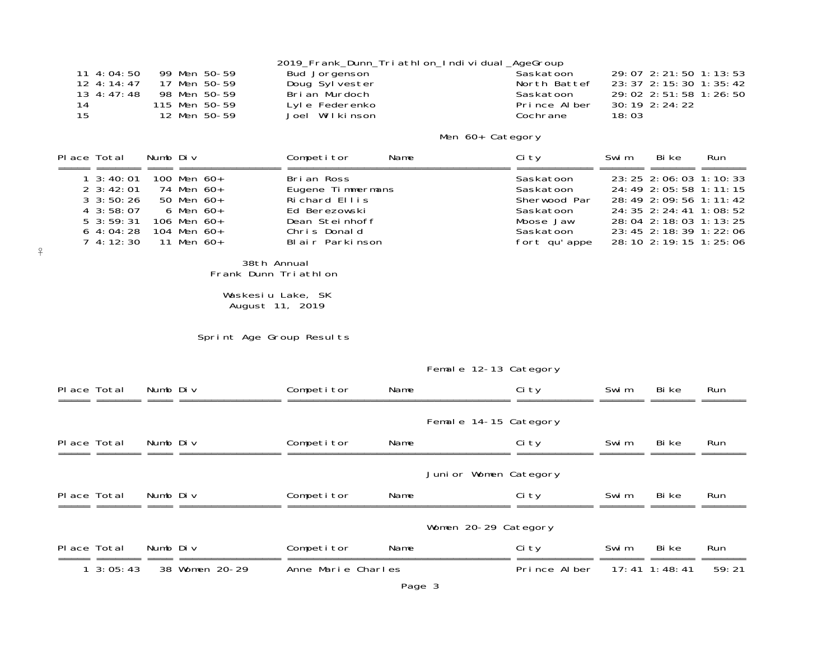|                 |               | 2019_Frank_Dunn_Tri athl on_Indi vi dual_AgeGroup |              |                            |
|-----------------|---------------|---------------------------------------------------|--------------|----------------------------|
| $11 \, 4:04:50$ | 99 Men 50-59  | Bud Jorgenson                                     | Saskatoon    | 29:07 2:21:50 1:13:53      |
| $12 \, 4:14:47$ | 17 Men 50-59  | Doug Sylvester                                    | North Battef | 23: 37 2: 15: 30 1: 35: 42 |
| 13 4:47:48      | 98 Men 50-59  | Brian Murdoch                                     | Saskatoon    | 29:02 2:51:58 1:26:50      |
| 14              | 115 Men 50-59 | Lyle Federenko                                    | Prince Alber | 30: 19 2: 24: 22           |
| 15              | 12 Men 50-59  | Joel Wilkinson                                    | Cochrane     | 18:03                      |

### Men 60+ Category

| Place Total                                                                                                    | Numb Div                                                                                                              | Competitor<br>Name                                                                                                     | Ci ty                                                                                         | Swi m<br>Bi ke                                                                                                                                                                                            | <b>Run</b> |
|----------------------------------------------------------------------------------------------------------------|-----------------------------------------------------------------------------------------------------------------------|------------------------------------------------------------------------------------------------------------------------|-----------------------------------------------------------------------------------------------|-----------------------------------------------------------------------------------------------------------------------------------------------------------------------------------------------------------|------------|
| $1 \cdot 3:40:01$<br>$2 \cdot 3:42:01$<br>$3 \cdot 50:26$<br>$4\,3:58:07$<br>$5 \cdot 3:59:31$<br>$6\,4:04:28$ | 100 Men $60+$<br>74 Men 60+<br>50 Men 60+<br>6 Men 60+<br>106 Men $60+$<br>104 Men 60+<br>$7\,4:12:30\quad11$ Men 60+ | Brian Ross<br>Eugene Timmermans<br>Richard Ellis<br>Ed Berezowski<br>Dean Steinhoff<br>Chris Donald<br>Blair Parkinson | Saskatoon<br>Saskatoon<br>Sherwood Par<br>Saskatoon<br>Moose Jaw<br>Saskatoon<br>fort qu'appe | 23: 25 2: 06: 03 1: 10: 33<br>24: 49 2: 05: 58 1: 11: 15<br>28:49 2:09:56 1:11:42<br>24: 35 2: 24: 41 1: 08: 52<br>28: 04 2: 18: 03 1: 13: 25<br>23: 45 2: 18: 39 1: 22: 06<br>28: 10 2: 19: 15 1: 25: 06 |            |

 $\frac{\mathsf o}{\mathsf T}$ 

38th Annual Frank Dunn Triathlon

#### Waskesiu Lake, SK August 11, 2019

Sprint Age Group Results

### Female 12-13 Category

| Place Total |                   | Numb Div |                | Competitor         | Name |                       | Ci ty        | Swi m | Bi ke         | Run        |
|-------------|-------------------|----------|----------------|--------------------|------|-----------------------|--------------|-------|---------------|------------|
|             |                   |          |                |                    |      |                       |              |       |               |            |
|             |                   |          |                |                    |      | Female 14-15 Category |              |       |               |            |
| Place Total |                   | Numb Div |                | Competitor         | Name |                       | Ci ty        | Swi m | Bi ke         | Run        |
|             |                   |          |                |                    |      |                       |              |       |               |            |
|             |                   |          |                |                    |      | Junior Women Category |              |       |               |            |
| Place Total |                   | Numb Div |                | Competitor         | Name |                       | Ci ty        | Swi m | Bi ke         | Run        |
|             |                   |          |                |                    |      |                       |              |       |               |            |
|             |                   |          |                |                    |      | Women 20-29 Category  |              |       |               |            |
| Place Total |                   | Numb Div |                | Competitor         | Name |                       | Ci ty        | Swi m | Bi ke         | <b>Run</b> |
|             | $1 \cdot 3:05:43$ |          | 38 Women 20-29 | Anne Marie Charles |      |                       | Prince Alber |       | 17:41 1:48:41 | 59:21      |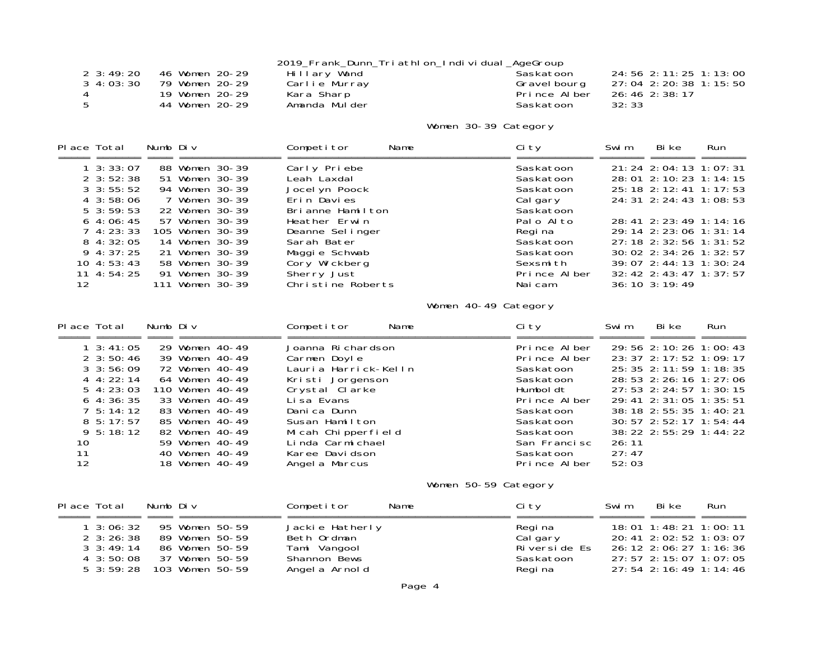|                   |                |               | 2019_Frank_Dunn_Tri athl on_Indi vi dual_AgeGroup |                            |
|-------------------|----------------|---------------|---------------------------------------------------|----------------------------|
| $2 \cdot 3:49:20$ | 46 Women 20-29 | Hillary Wand  | Saskatoon                                         | 24: 56 2: 11: 25 1: 13: 00 |
| $3\,4:03:30$      | 79 Women 20-29 | Carlie Murray | Gravel bourg                                      | 27:04 2:20:38 1:15:50      |
|                   | 19 Women 20-29 | Kara Sharp    | Prince Alber                                      | 26:46 2:38:17              |
|                   | 44 Women 20-29 | Amanda Mulder | Saskatoon                                         | 32:33                      |

# Women 30-39 Category

| Place Total |                     | Numb Div |                 | Competitor        | Name | Ci ty        | Swi m | Bi ke                          | Run |
|-------------|---------------------|----------|-----------------|-------------------|------|--------------|-------|--------------------------------|-----|
|             |                     |          |                 |                   |      |              |       |                                |     |
|             | $1 \, 3:33:07$      |          | 88 Women 30-39  | Carly Priebe      |      | Saskatoon    |       | 21: 24 2: 04: 13 1: 07: 31     |     |
|             | $2 \cdot 3:52:38$   |          | 51 Women 30-39  | Leah Laxdal       |      | Saskatoon    |       | 28: 01 2: 10: 23 1: 14: 15     |     |
|             | $3 \cdot 3: 55: 52$ |          | 94 Women 30-39  | Jocel vn Poock    |      | Saskatoon    |       | 25: 18 2: 12: 41 1: 17: 53     |     |
|             | $4\,3:58:06$        |          | 7 Women 30-39   | Erin Davies       |      | Cal gary     |       | 24: 31 2: 24: 43 1: 08: 53     |     |
|             | $5 \cdot 3:59:53$   |          | 22 Women 30-39  | Brianne Hamilton  |      | Saskatoon    |       |                                |     |
|             | $6\,4:06:45$        |          | 57 Women 30-39  | Heather Erwin     |      | Palo Alto    |       | 28: 41 2: 23: 49 1: 14: 16     |     |
|             | $7\,4:23:33$        |          | 105 Women 30-39 | Deanne Sel inger  |      | Regi na      |       | 29: 14 2: 23: 06 1: 31: 14     |     |
|             | $8\,4:32:05$        |          | 14 Women 30-39  | Sarah Bater       |      | Saskatoon    |       | 27: 18 2: 32: 56 1: 31: 52     |     |
|             | $9\,4:37:25$        |          | 21 Women 30-39  | Maggie Schwab     |      | Saskatoon    |       | 30: 02 2: 34: 26 1: 32: 57     |     |
|             | $10 \t4: 53: 43$    |          | 58 Women 30-39  | Cory Wickberg     |      | Sexsmith     |       | 39: 07 2: 44: 13 1: 30: 24     |     |
|             | $11 \; 4:54:25$     |          | 91 Women 30-39  | Sherry Just       |      | Prince Alber |       | $32: 42$ $2: 43: 47$ 1: 37: 57 |     |
| 12          |                     |          | 111 Women 30-39 | Christine Roberts |      | Naicam       |       | $36:10$ $3:19:49$              |     |

# Women 40-49 Category

| Place Total         | Numb Div        | Competitor<br>Name   | Ci ty        | Bi ke<br>Swi m<br>Run      |
|---------------------|-----------------|----------------------|--------------|----------------------------|
| $1 \cdot 3: 41: 05$ | 29 Women 40-49  | Joanna Richardson    | Prince Alber | 29: 56 2: 10: 26 1: 00: 43 |
| $2 \cdot 3:50:46$   | 39 Women 40-49  | Carmen Doyle         | Prince Alber | $23:37$ $2:17:52$ 1:09:17  |
| $3 \cdot 3:56:09$   | 72 Women 40-49  | Lauria Harrick-Kelln | Saskatoon    | 25: 35 2: 11: 59 1: 18: 35 |
| $4 \cdot 4:22:14$   | 64 Women 40-49  | Kristi Jorgenson     | Saskatoon    | 28: 53 2: 26: 16 1: 27: 06 |
| $5\,4:23:03$        | 110 Women 40-49 | Crystal Clărke       | Humboldt     | 27: 53 2: 24: 57 1: 30: 15 |
| $6\,4:36:35$        | 33 Women 40-49  | Li sa Evans          | Prince Alber | 29: 41 2: 31: 05 1: 35: 51 |
| $7\;5:14:12$        | 83 Women 40-49  | Danica Dunn          | Saskatoon    | 38: 18 2: 55: 35 1: 40: 21 |
| $8\,5:17:57$        | 85 Women 40-49  | Susan Hamilton       | Saskatoon    | 30: 57 2: 52: 17 1: 54: 44 |
| $9\,5:18:12$        | 82 Women 40-49  | Micah Chipperfield   | Saskatoon    | 38: 22 2: 55: 29 1: 44: 22 |
| 10                  | 59 Women 40-49  | Linda Carmichael     | San Francisc | 26:11                      |
| 11                  | 40 Women 40-49  | Karee Davidson       | Saskatoon    | 27:47                      |
| 12                  | 18 Women 40-49  | Angel a Marcus       | Prince Alber | 52:03                      |

# Women 50-59 Category

| Place Total       | Numb Div |                 | Competitor      | Name | Ci ty        | Swi m | Bi ke                       | Run                        |
|-------------------|----------|-----------------|-----------------|------|--------------|-------|-----------------------------|----------------------------|
|                   |          |                 |                 |      |              |       |                             |                            |
| $1 \cdot 3:06:32$ |          | 95 Women 50-59  | Jackie Hatherly |      | Regi na      |       | $18:01$ 1: 48: 21 1: 00: 11 |                            |
| $2 \cdot 3:26:38$ |          | 89 Women 50-59  | Beth Ordman     |      | Calgary      |       | 20: 41 2: 02: 52 1: 03: 07  |                            |
| $3 \cdot 3:49:14$ |          | 86 Women 50-59  | Tami Vangool    |      | Riverside Es |       | 26: 12 2: 06: 27 1: 16: 36  |                            |
| $4\,3:50:08$      |          | 37 Women 50-59  | Shannon Bews    |      | Saskatoon    |       | 27: 57 2: 15: 07 1: 07: 05  |                            |
| $5\,3:59:28$      |          | 103 Women 50-59 | Angel a Arnold  |      | Regi na      |       |                             | 27: 54 2: 16: 49 1: 14: 46 |